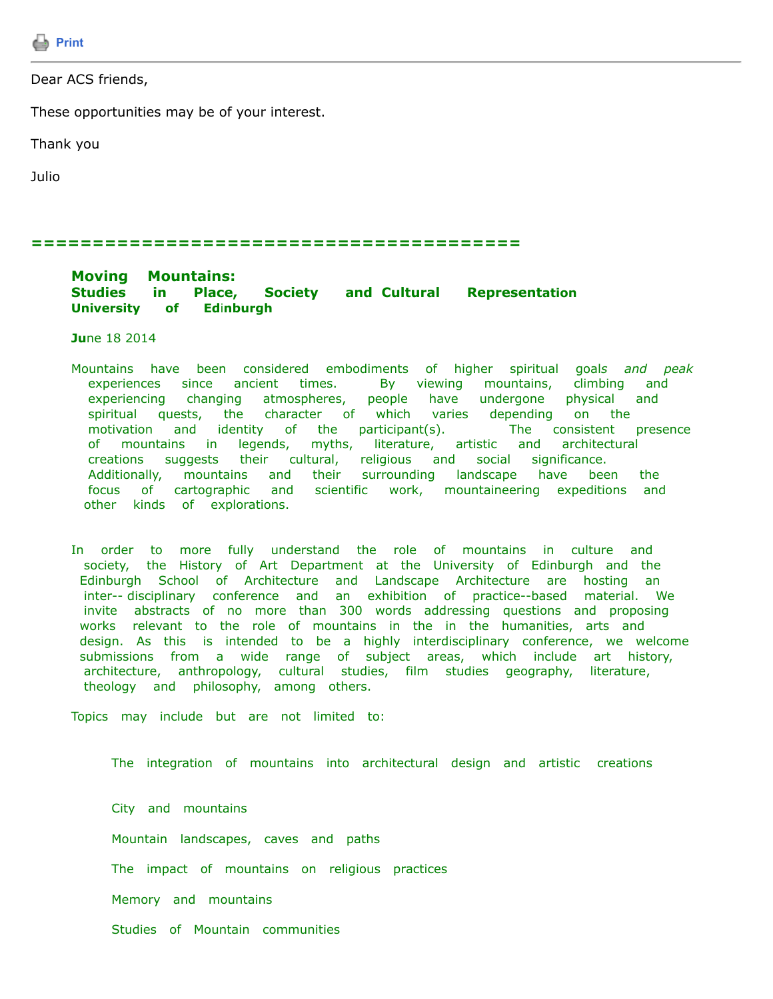

Dear ACS friends,

These opportunities may be of your interest.

Thank you

Julio

## **========================================**

## **Moving Mountains: Studies in Place, Society and Cultural Representation University of Ed**i**nburgh**

**Ju**ne 18 2014

- Mountains have been considered embodiments of higher spiritual goal*s and peak* experiences since ancient times. By viewing mountains, climbing and experiencing changing atmospheres, people have undergone physical and spiritual quests, the character of which varies depending on the motivation and identity of the participant(s). The consistent presence of mountains in legends, myths, literature, artistic and architectural creations suggests their cultural, religious and social significance. Additionally, mountains and their surrounding landscape have been the focus of cartographic and scientific work, mountaineering expeditions and other kinds of explorations.
- In order to more fully understand the role of mountains in culture and society, the History of Art Department at the University of Edinburgh and the Edinburgh School of Architecture and Landscape Architecture are hosting an inter-- disciplinary conference and an exhibition of practice--based material. We invite abstracts of no more than 300 words addressing questions and proposing works relevant to the role of mountains in the in the humanities, arts and design. As this is intended to be a highly interdisciplinary conference, we welcome submissions from a wide range of subject areas, which include art history, architecture, anthropology, cultural studies, film studies geography, literature, theology and philosophy, among others.

Topics may include but are not limited to:

The integration of mountains into architectural design and artistic creations

City and mountains Mountain landscapes, caves and paths The impact of mountains on religious practices Memory and mountains Studies of Mountain communities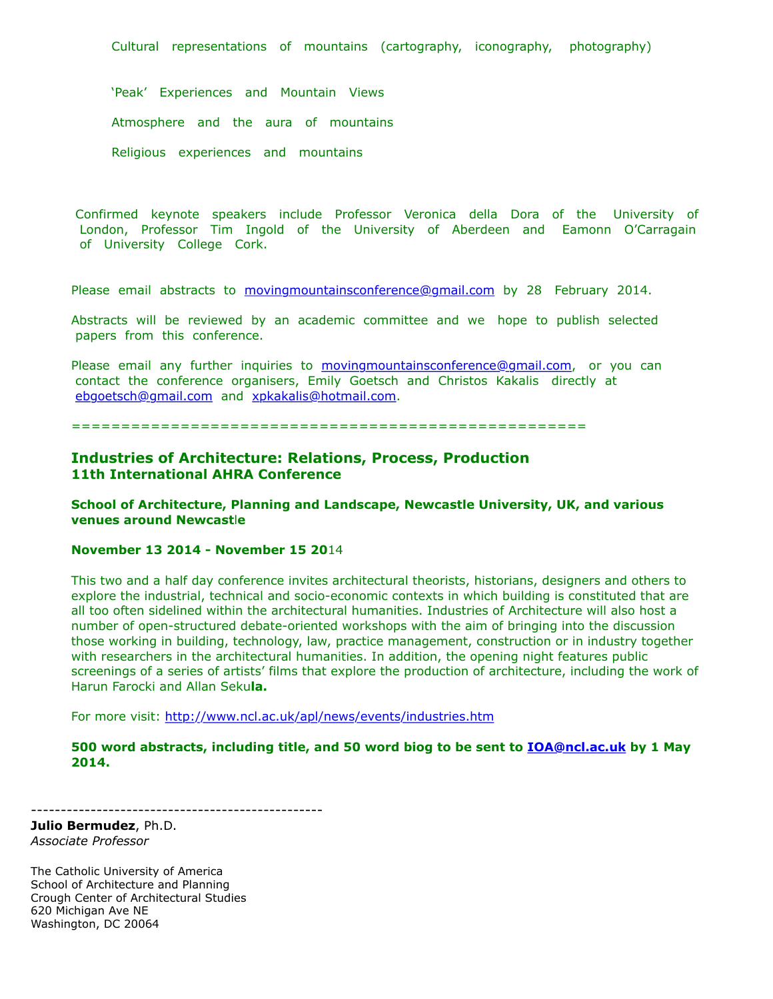Cultural representations of mountains (cartography, iconography, photography)

'Peak' Experiences and Mountain Views Atmosphere and the aura of mountains Religious experiences and mountains

 Confirmed keynote speakers include Professor Veronica della Dora of the University of London, Professor Tim Ingold of the University of Aberdeen and Eamonn O'Carragain of University College Cork.

Please email abstracts to [movingmountainsconference@gmail.com](https://listserv.tamu.edu/cgi-bin/movingmountainsconference@gmail.com) by 28 February 2014.

Abstracts will be reviewed by an academic committee and we hope to publish selected papers from this conference.

Please email any further inquiries to [movingmountainsconference@gmail.com,](https://listserv.tamu.edu/cgi-bin/movingmountainsconference@gmail.com) or you can contact the conference organisers, Emily Goetsch and Christos Kakalis directly at [ebgoetsch@gmail.com](https://listserv.tamu.edu/cgi-bin/ebgoetsch@gmail.com) and [xpkakalis@hotmail.com.](https://listserv.tamu.edu/cgi-bin/xpkakalis@hotmail.com)

====================================================

## **Industries of Architecture: Relations, Process, Production 11th International AHRA Conference**

**School of Architecture, Planning and Landscape, Newcastle University, UK, and various venues around Newcast**l**e**

## **November 13 2014 - November 15 20**14

-------------------------------------------------

This two and a half day conference invites architectural theorists, historians, designers and others to explore the industrial, technical and socio-economic contexts in which building is constituted that are all too often sidelined within the architectural humanities. Industries of Architecture will also host a number of open-structured debate-oriented workshops with the aim of bringing into the discussion those working in building, technology, law, practice management, construction or in industry together with researchers in the architectural humanities. In addition, the opening night features public screenings of a series of artists' films that explore the production of architecture, including the work of Harun Farocki and Allan Seku**la.**

For more visit: <http://www.ncl.ac.uk/apl/news/events/industries.htm>

**500 word abstracts, including title, and 50 word biog to be sent to [IOA@ncl.ac.uk](https://listserv.tamu.edu/cgi-bin/IOA@ncl.ac.uk) by 1 May 2014.**

**Julio Bermudez**, Ph.D. *Associate Professor*

The Catholic University of America School of Architecture and Planning Crough Center of Architectural Studies 620 Michigan Ave NE Washington, DC 20064